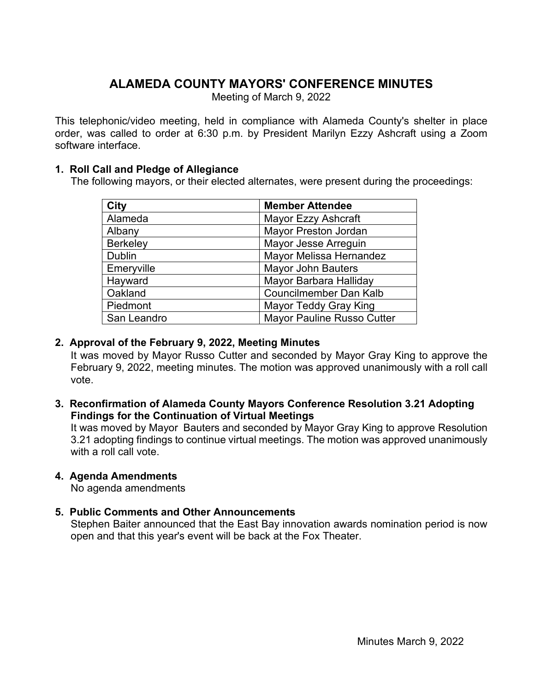# **ALAMEDA COUNTY MAYORS' CONFERENCE MINUTES**

Meeting of March 9, 2022

This telephonic/video meeting, held in compliance with Alameda County's shelter in place order, was called to order at 6:30 p.m. by President Marilyn Ezzy Ashcraft using a Zoom software interface.

#### **1. Roll Call and Pledge of Allegiance**

The following mayors, or their elected alternates, were present during the proceedings:

| <b>City</b>     | <b>Member Attendee</b>            |
|-----------------|-----------------------------------|
| Alameda         | <b>Mayor Ezzy Ashcraft</b>        |
| Albany          | <b>Mayor Preston Jordan</b>       |
| <b>Berkeley</b> | Mayor Jesse Arreguin              |
| <b>Dublin</b>   | Mayor Melissa Hernandez           |
| Emeryville      | <b>Mayor John Bauters</b>         |
| Hayward         | Mayor Barbara Halliday            |
| Oakland         | <b>Councilmember Dan Kalb</b>     |
| Piedmont        | <b>Mayor Teddy Gray King</b>      |
| San Leandro     | <b>Mayor Pauline Russo Cutter</b> |

#### **2. Approval of the February 9, 2022, Meeting Minutes**

It was moved by Mayor Russo Cutter and seconded by Mayor Gray King to approve the February 9, 2022, meeting minutes. The motion was approved unanimously with a roll call vote.

**3. Reconfirmation of Alameda County Mayors Conference Resolution 3.21 Adopting Findings for the Continuation of Virtual Meetings**

It was moved by Mayor Bauters and seconded by Mayor Gray King to approve Resolution 3.21 adopting findings to continue virtual meetings. The motion was approved unanimously with a roll call vote.

# **4. Agenda Amendments**

No agenda amendments

# **5. Public Comments and Other Announcements**

Stephen Baiter announced that the East Bay innovation awards nomination period is now open and that this year's event will be back at the Fox Theater.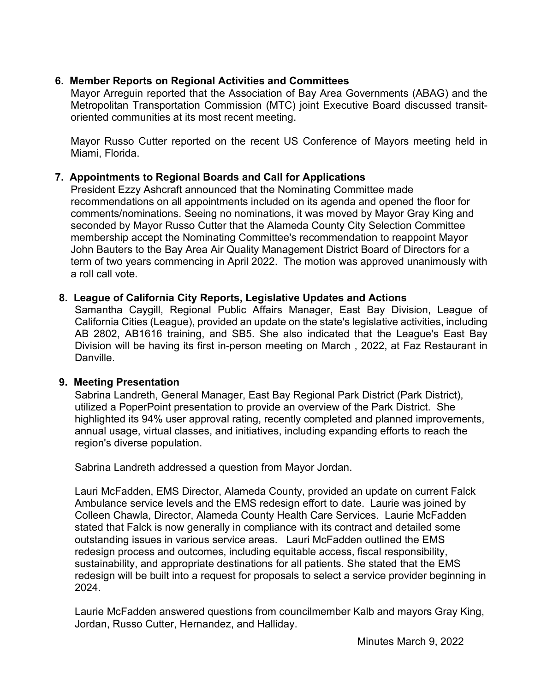# **6. Member Reports on Regional Activities and Committees**

Mayor Arreguin reported that the Association of Bay Area Governments (ABAG) and the Metropolitan Transportation Commission (MTC) joint Executive Board discussed transitoriented communities at its most recent meeting.

Mayor Russo Cutter reported on the recent US Conference of Mayors meeting held in Miami, Florida.

## **7. Appointments to Regional Boards and Call for Applications**

President Ezzy Ashcraft announced that the Nominating Committee made recommendations on all appointments included on its agenda and opened the floor for comments/nominations. Seeing no nominations, it was moved by Mayor Gray King and seconded by Mayor Russo Cutter that the Alameda County City Selection Committee membership accept the Nominating Committee's recommendation to reappoint Mayor John Bauters to the Bay Area Air Quality Management District Board of Directors for a term of two years commencing in April 2022. The motion was approved unanimously with a roll call vote.

#### **8. League of California City Reports, Legislative Updates and Actions**

Samantha Caygill, Regional Public Affairs Manager, East Bay Division, League of California Cities (League), provided an update on the state's legislative activities, including AB 2802, AB1616 training, and SB5. She also indicated that the League's East Bay Division will be having its first in-person meeting on March , 2022, at Faz Restaurant in Danville.

#### **9. Meeting Presentation**

Sabrina Landreth, General Manager, East Bay Regional Park District (Park District), utilized a PoperPoint presentation to provide an overview of the Park District. She highlighted its 94% user approval rating, recently completed and planned improvements, annual usage, virtual classes, and initiatives, including expanding efforts to reach the region's diverse population.

Sabrina Landreth addressed a question from Mayor Jordan.

Lauri McFadden, EMS Director, Alameda County, provided an update on current Falck Ambulance service levels and the EMS redesign effort to date. Laurie was joined by Colleen Chawla, Director, Alameda County Health Care Services. Laurie McFadden stated that Falck is now generally in compliance with its contract and detailed some outstanding issues in various service areas. Lauri McFadden outlined the EMS redesign process and outcomes, including equitable access, fiscal responsibility, sustainability, and appropriate destinations for all patients. She stated that the EMS redesign will be built into a request for proposals to select a service provider beginning in 2024.

Laurie McFadden answered questions from councilmember Kalb and mayors Gray King, Jordan, Russo Cutter, Hernandez, and Halliday.